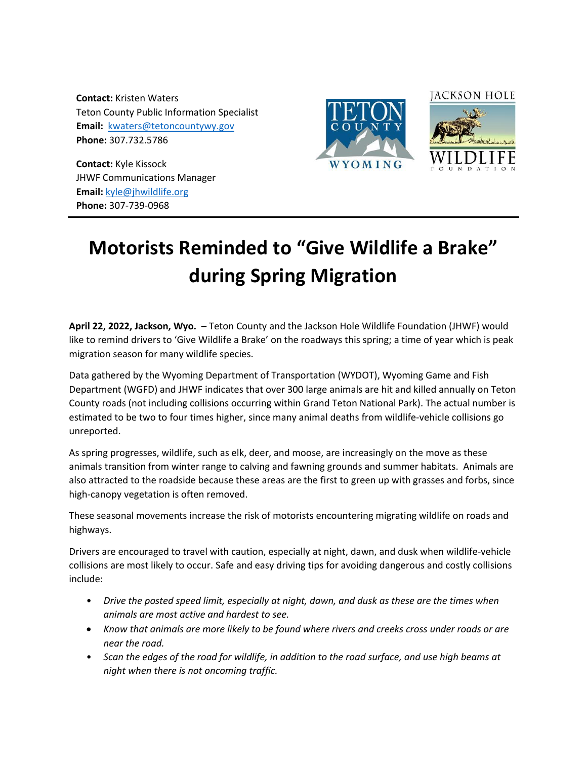**Contact:** Kristen Waters Teton County Public Information Specialist **Email:** kwaters@tetoncountywy.gov **Phone:** 307.732.5786

**Contact:** Kyle Kissock JHWF Communications Manager **Email:** [kyle@jhwildlife.org](mailto:kyle@jhwildlife.org) **Phone:** 307-739-0968





## **Motorists Reminded to "Give Wildlife a Brake" during Spring Migration**

**April 22, 2022, Jackson, Wyo. –** Teton County and the Jackson Hole Wildlife Foundation (JHWF) would like to remind drivers to 'Give Wildlife a Brake' on the roadways this spring; a time of year which is peak migration season for many wildlife species.

Data gathered by the Wyoming Department of Transportation (WYDOT), Wyoming Game and Fish Department (WGFD) and JHWF indicates that over 300 large animals are hit and killed annually on Teton County roads (not including collisions occurring within Grand Teton National Park). The actual number is estimated to be two to four times higher, since many animal deaths from wildlife-vehicle collisions go unreported.

As spring progresses, wildlife, such as elk, deer, and moose, are increasingly on the move as these animals transition from winter range to calving and fawning grounds and summer habitats. Animals are also attracted to the roadside because these areas are the first to green up with grasses and forbs, since high-canopy vegetation is often removed.

These seasonal movements increase the risk of motorists encountering migrating wildlife on roads and highways.

Drivers are encouraged to travel with caution, especially at night, dawn, and dusk when wildlife-vehicle collisions are most likely to occur. Safe and easy driving tips for avoiding dangerous and costly collisions include:

- *Drive the posted speed limit, especially at night, dawn, and dusk as these are the times when animals are most active and hardest to see.*
- *Know that animals are more likely to be found where rivers and creeks cross under roads or are near the road.*
- *Scan the edges of the road for wildlife, in addition to the road surface, and use high beams at night when there is not oncoming traffic.*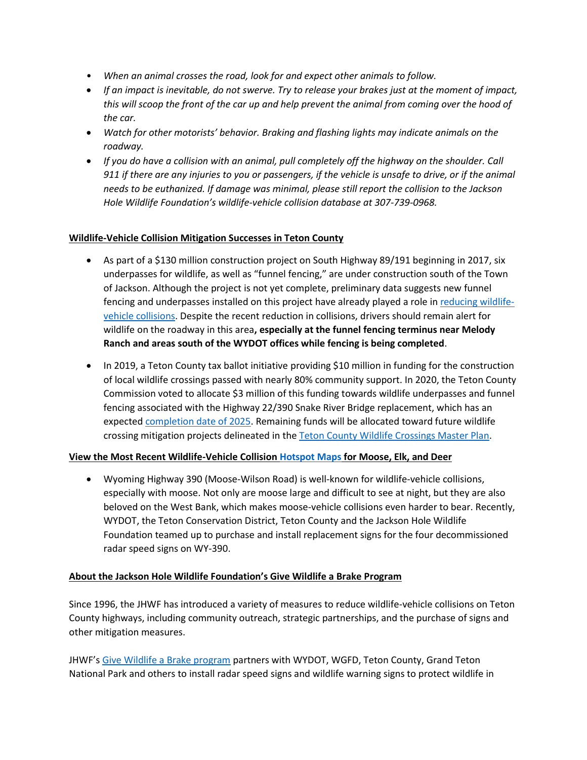- *When an animal crosses the road, look for and expect other animals to follow.*
- *If an impact is inevitable, do not swerve. Try to release your brakes just at the moment of impact, this will scoop the front of the car up and help prevent the animal from coming over the hood of the car.*
- *Watch for other motorists' behavior. Braking and flashing lights may indicate animals on the roadway.*
- *If you do have a collision with an animal, pull completely off the highway on the shoulder. Call 911 if there are any injuries to you or passengers, if the vehicle is unsafe to drive, or if the animal needs to be euthanized. If damage was minimal, please still report the collision to the Jackson Hole Wildlife Foundation's wildlife-vehicle collision database at 307-739-0968.*

## **Wildlife-Vehicle Collision Mitigation Successes in Teton County**

- As part of a \$130 million construction project on South Highway 89/191 beginning in 2017, six underpasses for wildlife, as well as "funnel fencing," are under construction south of the Town of Jackson. Although the project is not yet complete, preliminary data suggests new funnel fencing and underpasses installed on this project have already played a role in [reducing wildlife](https://jhwildlife.org/where-does-the-chicken-cross-the-road-thoughts-on-the-things-we-wouldnt-know-without-your-help/)[vehicle collisions.](https://jhwildlife.org/where-does-the-chicken-cross-the-road-thoughts-on-the-things-we-wouldnt-know-without-your-help/) Despite the recent reduction in collisions, drivers should remain alert for wildlife on the roadway in this area**, especially at the funnel fencing terminus near Melody Ranch and areas south of the WYDOT offices while fencing is being completed**.
- In 2019, a Teton County tax ballot initiative providing \$10 million in funding for the construction of local wildlife crossings passed with nearly 80% community support. In 2020, the Teton County Commission voted to allocate \$3 million of this funding towards wildlife underpasses and funnel fencing associated with the Highway 22/390 Snake River Bridge replacement, which has an expecte[d completion date of 2025.](https://visualmedia.jacobs.com/WYDOTSnakeRiverBridge/#boards-1-15) Remaining funds will be allocated toward future wildlife crossing mitigation projects delineated in the [Teton County Wildlife Crossings Master Plan.](https://tetoncountywy.gov/DocumentCenter/View/7127/061218_TCWildlifeCrossing-Action-Summary?bidId=)

## **View the Most Recent Wildlife-Vehicle Collisio[n Hotspot Maps](https://jhwildlife.org/our-work/give-wildlife-a-brake/) for Moose, Elk, and Deer**

• Wyoming Highway 390 (Moose-Wilson Road) is well-known for wildlife-vehicle collisions, especially with moose. Not only are moose large and difficult to see at night, but they are also beloved on the West Bank, which makes moose-vehicle collisions even harder to bear. Recently, WYDOT, the Teton Conservation District, Teton County and the Jackson Hole Wildlife Foundation teamed up to purchase and install replacement signs for the four decommissioned radar speed signs on WY-390.

## **About the Jackson Hole Wildlife Foundation's Give Wildlife a Brake Program**

Since 1996, the JHWF has introduced a variety of measures to reduce wildlife-vehicle collisions on Teton County highways, including community outreach, strategic partnerships, and the purchase of signs and other mitigation measures.

JHWF's [Give Wildlife a Brake program](https://jhwildlife.org/our-work/give-wildlife-a-brake/) partners with WYDOT, WGFD, Teton County, Grand Teton National Park and others to install radar speed signs and wildlife warning signs to protect wildlife in